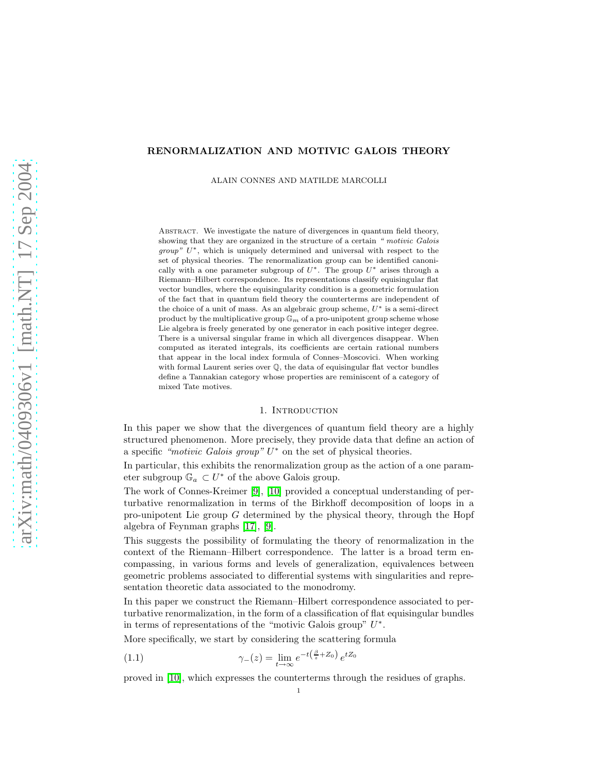# RENORMALIZATION AND MOTIVIC GALOIS THEORY

ALAIN CONNES AND MATILDE MARCOLLI

ABSTRACT. We investigate the nature of divergences in quantum field theory, showing that they are organized in the structure of a certain *" motivic Galois group*"  $U^*$ , which is uniquely determined and universal with respect to the set of physical theories. The renormalization group can be identified canonically with a one parameter subgroup of  $U^*$ . The group  $U^*$  arises through a Riemann–Hilbert correspondence. Its representations classify equisingular flat vector bundles, where the equisingularity condition is a geometric formulation of the fact that in quantum field theory the counterterms are independent of the choice of a unit of mass. As an algebraic group scheme,  $U^*$  is a semi-direct product by the multiplicative group  $\mathbb{G}_m$  of a pro-unipotent group scheme whose Lie algebra is freely generated by one generator in each positive integer degree. There is a universal singular frame in which all divergences disappear. When computed as iterated integrals, its coefficients are certain rational numbers that appear in the local index formula of Connes–Moscovici. When working with formal Laurent series over Q, the data of equisingular flat vector bundles define a Tannakian category whose properties are reminiscent of a category of mixed Tate motives.

## 1. INTRODUCTION

In this paper we show that the divergences of quantum field theory are a highly structured phenomenon. More precisely, they provide data that define an action of a specific "motivic Galois group"  $U^*$  on the set of physical theories.

In particular, this exhibits the renormalization group as the action of a one parameter subgroup  $\mathbb{G}_a \subset U^*$  of the above Galois group.

The work of Connes-Kreimer [\[9\]](#page-13-0), [\[10\]](#page-14-0) provided a conceptual understanding of perturbative renormalization in terms of the Birkhoff decomposition of loops in a pro-unipotent Lie group G determined by the physical theory, through the Hopf algebra of Feynman graphs [\[17\]](#page-14-1), [\[9\]](#page-13-0).

This suggests the possibility of formulating the theory of renormalization in the context of the Riemann–Hilbert correspondence. The latter is a broad term encompassing, in various forms and levels of generalization, equivalences between geometric problems associated to differential systems with singularities and representation theoretic data associated to the monodromy.

In this paper we construct the Riemann–Hilbert correspondence associated to perturbative renormalization, in the form of a classification of flat equisingular bundles in terms of representations of the "motivic Galois group"  $U^*$ .

<span id="page-0-0"></span>More specifically, we start by considering the scattering formula

(1.1) 
$$
\gamma_{-}(z) = \lim_{t \to \infty} e^{-t\left(\frac{\beta}{z} + Z_0\right)} e^{tZ_0}
$$

proved in [\[10\]](#page-14-0), which expresses the counterterms through the residues of graphs.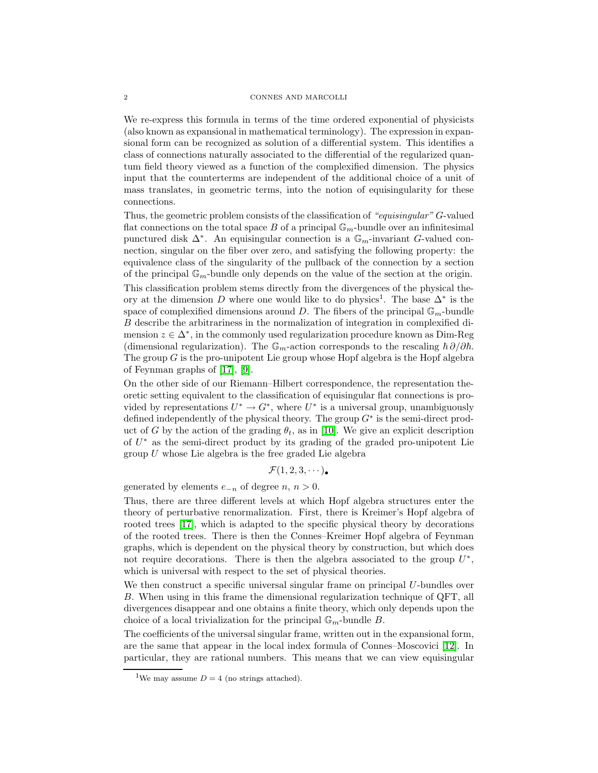#### 2 CONNES AND MARCOLLI

We re-express this formula in terms of the time ordered exponential of physicists (also known as expansional in mathematical terminology). The expression in expansional form can be recognized as solution of a differential system. This identifies a class of connections naturally associated to the differential of the regularized quantum field theory viewed as a function of the complexified dimension. The physics input that the counterterms are independent of the additional choice of a unit of mass translates, in geometric terms, into the notion of equisingularity for these connections.

Thus, the geometric problem consists of the classification of "equisingular" G-valued flat connections on the total space  $B$  of a principal  $\mathbb{G}_m\text{-bundle over an infinitesimal}$ punctured disk  $\Delta^*$ . An equisingular connection is a  $\mathbb{G}_m$ -invariant G-valued connection, singular on the fiber over zero, and satisfying the following property: the equivalence class of the singularity of the pullback of the connection by a section of the principal  $\mathbb{G}_m$ -bundle only depends on the value of the section at the origin. This classification problem stems directly from the divergences of the physical theory at the dimension D where one would like to do physics<sup>1</sup>. The base  $\Delta^*$  is the space of complexified dimensions around D. The fibers of the principal  $\mathbb{G}_m$ -bundle B describe the arbitrariness in the normalization of integration in complexified dimension  $z \in \Delta^*$ , in the commonly used regularization procedure known as Dim-Reg (dimensional regularization). The  $\mathbb{G}_m$ -action corresponds to the rescaling  $\hbar \partial/\partial \hbar$ . The group  $G$  is the pro-unipotent Lie group whose Hopf algebra is the Hopf algebra of Feynman graphs of [\[17\]](#page-14-1), [\[9\]](#page-13-0).

On the other side of our Riemann–Hilbert correspondence, the representation theoretic setting equivalent to the classification of equisingular flat connections is provided by representations  $U^* \to G^*$ , where  $U^*$  is a universal group, unambiguously defined independently of the physical theory. The group  $G^*$  is the semi-direct product of G by the action of the grading  $\theta_t$ , as in [\[10\]](#page-14-0). We give an explicit description of  $U^*$  as the semi-direct product by its grading of the graded pro-unipotent Lie group  $U$  whose Lie algebra is the free graded Lie algebra

$$
\mathcal{F}(1,2,3,\cdots)\bullet
$$

generated by elements  $e_{-n}$  of degree  $n, n > 0$ .

Thus, there are three different levels at which Hopf algebra structures enter the theory of perturbative renormalization. First, there is Kreimer's Hopf algebra of rooted trees [\[17\]](#page-14-1), which is adapted to the specific physical theory by decorations of the rooted trees. There is then the Connes–Kreimer Hopf algebra of Feynman graphs, which is dependent on the physical theory by construction, but which does not require decorations. There is then the algebra associated to the group  $U^*$ , which is universal with respect to the set of physical theories.

We then construct a specific universal singular frame on principal U-bundles over B. When using in this frame the dimensional regularization technique of QFT, all divergences disappear and one obtains a finite theory, which only depends upon the choice of a local trivialization for the principal  $\mathbb{G}_m$ -bundle B.

The coefficients of the universal singular frame, written out in the expansional form, are the same that appear in the local index formula of Connes–Moscovici [\[12\]](#page-14-2). In particular, they are rational numbers. This means that we can view equisingular

<sup>&</sup>lt;sup>1</sup>We may assume  $D = 4$  (no strings attached).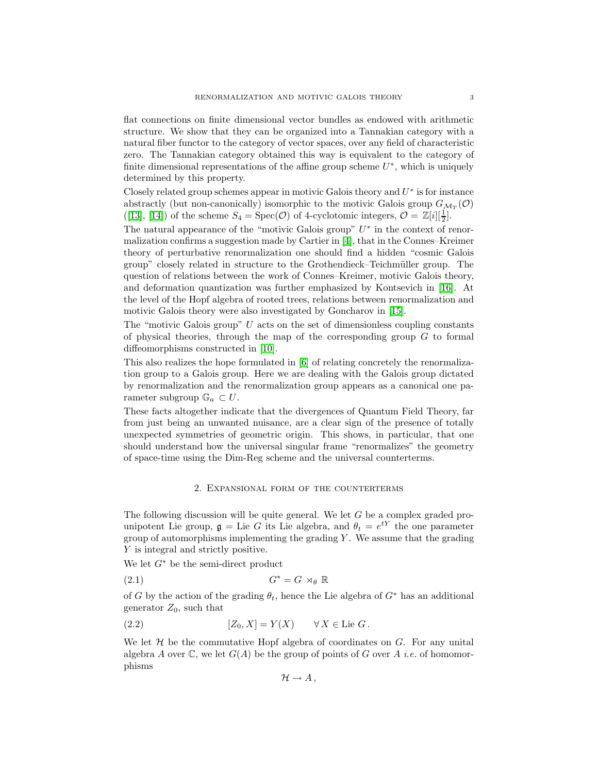flat connections on finite dimensional vector bundles as endowed with arithmetic structure. We show that they can be organized into a Tannakian category with a natural fiber functor to the category of vector spaces, over any field of characteristic zero. The Tannakian category obtained this way is equivalent to the category of finite dimensional representations of the affine group scheme  $U^*$ , which is uniquely determined by this property.

Closely related group schemes appear in motivic Galois theory and  $U^*$  is for instance abstractly (but non-canonically) isomorphic to the motivic Galois group  $G_{\mathcal{M}_T}(\mathcal{O})$ ([\[13\]](#page-14-3), [\[14\]](#page-14-4)) of the scheme  $S_4 = \text{Spec}(\mathcal{O})$  of 4-cyclotomic integers,  $\mathcal{O} = \mathbb{Z}[i][\frac{1}{2}]$ .

The natural appearance of the "motivic Galois group"  $U^*$  in the context of renormalization confirms a suggestion made by Cartier in [\[4\]](#page-13-1), that in the Connes–Kreimer theory of perturbative renormalization one should find a hidden "cosmic Galois group" closely related in structure to the Grothendieck–Teichm¨uller group. The question of relations between the work of Connes–Kreimer, motivic Galois theory, and deformation quantization was further emphasized by Kontsevich in [\[16\]](#page-14-5). At the level of the Hopf algebra of rooted trees, relations between renormalization and motivic Galois theory were also investigated by Goncharov in [\[15\]](#page-14-6).

The "motivic Galois group"  $U$  acts on the set of dimensionless coupling constants of physical theories, through the map of the corresponding group  $G$  to formal diffeomorphisms constructed in [\[10\]](#page-14-0).

This also realizes the hope formulated in [\[6\]](#page-13-2) of relating concretely the renormalization group to a Galois group. Here we are dealing with the Galois group dictated by renormalization and the renormalization group appears as a canonical one parameter subgroup  $\mathbb{G}_a \subset U$ .

These facts altogether indicate that the divergences of Quantum Field Theory, far from just being an unwanted nuisance, are a clear sign of the presence of totally unexpected symmetries of geometric origin. This shows, in particular, that one should understand how the universal singular frame "renormalizes" the geometry of space-time using the Dim-Reg scheme and the universal counterterms.

# 2. Expansional form of the counterterms

<span id="page-2-0"></span>The following discussion will be quite general. We let  $G$  be a complex graded prounipotent Lie group,  $\mathfrak{g} =$  Lie G its Lie algebra, and  $\theta_t = e^{tY}$  the one parameter group of automorphisms implementing the grading  $Y$ . We assume that the grading Y is integral and strictly positive.

We let  $G^*$  be the semi-direct product

$$
(2.1) \tG^* = G \rtimes_{\theta} \mathbb{R}
$$

of G by the action of the grading  $\theta_t$ , hence the Lie algebra of  $G^*$  has an additional generator  $Z_0$ , such that

$$
[Z_0, X] = Y(X) \qquad \forall X \in \text{Lie } G.
$$

We let  $H$  be the commutative Hopf algebra of coordinates on  $G$ . For any unital algebra A over  $\mathbb C$ , we let  $G(A)$  be the group of points of G over A *i.e.* of homomorphisms

$$
\mathcal{H} \to A \, ,
$$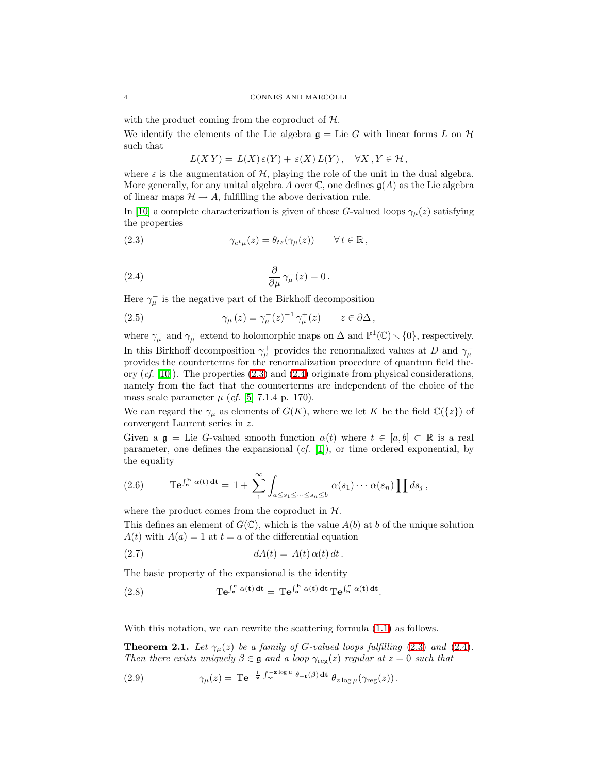with the product coming from the coproduct of  $H$ .

We identify the elements of the Lie algebra  $\mathfrak{g} =$  Lie G with linear forms L on  $\mathcal H$ such that

$$
L(X Y) = L(X) \varepsilon(Y) + \varepsilon(X) L(Y), \quad \forall X, Y \in \mathcal{H},
$$

where  $\varepsilon$  is the augmentation of  $H$ , playing the role of the unit in the dual algebra. More generally, for any unital algebra A over  $\mathbb C$ , one defines  $\mathfrak{g}(A)$  as the Lie algebra of linear maps  $\mathcal{H} \to A$ , fulfilling the above derivation rule.

<span id="page-3-0"></span>In [\[10\]](#page-14-0) a complete characterization is given of those G-valued loops  $\gamma_\mu(z)$  satisfying the properties

<span id="page-3-1"></span>(2.3) 
$$
\gamma_{e^t\mu}(z) = \theta_{tz}(\gamma_\mu(z)) \qquad \forall \, t \in \mathbb{R},
$$

(2.4) 
$$
\frac{\partial}{\partial \mu} \gamma^-_{\mu}(z) = 0.
$$

Here  $\gamma_{\mu}^{-}$  is the negative part of the Birkhoff decomposition

(2.5) 
$$
\gamma_{\mu}(z) = \gamma_{\mu}^{-}(z)^{-1} \gamma_{\mu}^{+}(z) \qquad z \in \partial \Delta,
$$

where  $\gamma^+_\mu$  and  $\gamma^-_\mu$  extend to holomorphic maps on  $\Delta$  and  $\mathbb{P}^1(\mathbb{C}) \setminus \{0\}$ , respectively. In this Birkhoff decomposition  $\gamma^+_\mu$  provides the renormalized values at D and  $\gamma^-_\mu$ provides the counterterms for the renormalization procedure of quantum field theory  $(cf. [10])$  $(cf. [10])$  $(cf. [10])$ . The properties  $(2.3)$  and  $(2.4)$  originate from physical considerations, namely from the fact that the counterterms are independent of the choice of the mass scale parameter  $\mu$  (*cf.* [\[5\]](#page-13-3) 7.1.4 p. 170).

We can regard the  $\gamma_{\mu}$  as elements of  $G(K)$ , where we let K be the field  $\mathbb{C}(\{z\})$  of convergent Laurent series in z.

Given a  $\mathfrak{g} =$  Lie G-valued smooth function  $\alpha(t)$  where  $t \in [a, b] \subset \mathbb{R}$  is a real parameter, one defines the expansional  $(cf. [1])$  $(cf. [1])$  $(cf. [1])$ , or time ordered exponential, by the equality

(2.6) 
$$
\mathrm{Te}^{\int_{a}^{b} \alpha(t) dt} = 1 + \sum_{1}^{\infty} \int_{a \leq s_{1} \leq \cdots \leq s_{n} \leq b} \alpha(s_{1}) \cdots \alpha(s_{n}) \prod ds_{j},
$$

where the product comes from the coproduct in  $H$ .

This defines an element of  $G(\mathbb{C})$ , which is the value  $A(b)$  at b of the unique solution  $A(t)$  with  $A(a) = 1$  at  $t = a$  of the differential equation

$$
(2.7) \t\t dA(t) = A(t) \alpha(t) dt.
$$

The basic property of the expansional is the identity

(2.8) 
$$
Te^{\int_a^c \alpha(t) dt} = Te^{\int_a^b \alpha(t) dt} Te^{\int_b^c \alpha(t) dt}.
$$

With this notation, we can rewrite the scattering formula  $(1.1)$  as follows.

<span id="page-3-2"></span>**Theorem 2.1.** Let  $\gamma_{\mu}(z)$  be a family of G-valued loops fulfilling [\(2.3\)](#page-3-0) and [\(2.4\)](#page-3-1). Then there exists uniquely  $\beta \in \mathfrak{g}$  and a loop  $\gamma_{\text{reg}}(z)$  regular at  $z = 0$  such that

(2.9) 
$$
\gamma_{\mu}(z) = \mathrm{Te}^{-\frac{1}{z}\int_{\infty}^{-z\log\mu}\theta_{-t}(\beta)\,\mathrm{d}t}\,\theta_{z\log\mu}(\gamma_{\mathrm{reg}}(z)).
$$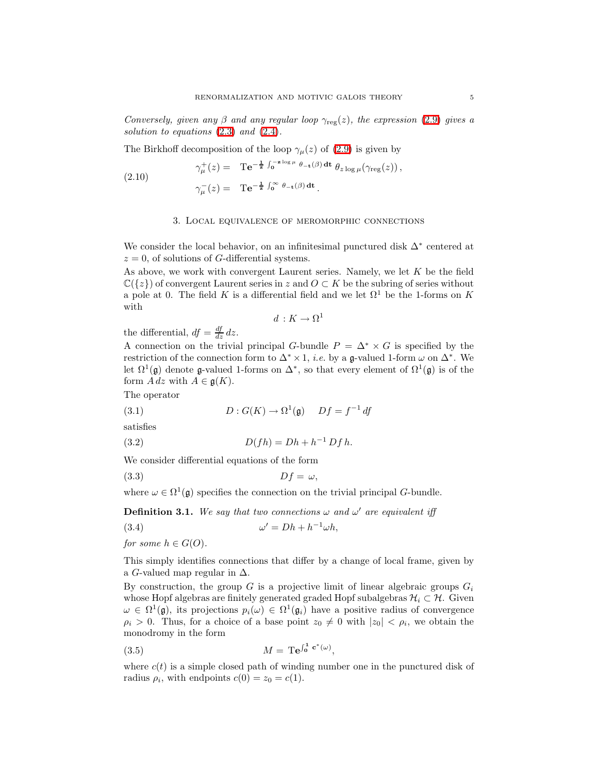Conversely, given any  $\beta$  and any regular loop  $\gamma_{\text{rec}}(z)$ , the expression [\(2.9\)](#page-3-2) gives a solution to equations  $(2.3)$  and  $(2.4)$ .

The Birkhoff decomposition of the loop  $\gamma_{\mu}(z)$  of [\(2.9\)](#page-3-2) is given by

(2.10) 
$$
\gamma^+_{\mu}(z) = \mathbf{T} \mathbf{e}^{-\frac{1}{z} \int_0^{-z \log \mu} \theta_{-\mathbf{t}}(\beta) \, \mathbf{dt}} \theta_{z \log \mu}(\gamma_{\text{reg}}(z)),
$$

$$
\gamma^-_{\mu}(z) = \mathbf{T} \mathbf{e}^{-\frac{1}{z} \int_0^{\infty} \theta_{-\mathbf{t}}(\beta) \, \mathbf{dt}}.
$$

## 3. Local equivalence of meromorphic connections

We consider the local behavior, on an infinitesimal punctured disk  $\Delta^*$  centered at  $z = 0$ , of solutions of G-differential systems.

As above, we work with convergent Laurent series. Namely, we let K be the field  $\mathbb{C}({z})$  of convergent Laurent series in z and  $O \subset K$  be the subring of series without a pole at 0. The field K is a differential field and we let  $\Omega^1$  be the 1-forms on K with

$$
d: K \to \Omega^1
$$

the differential,  $df = \frac{df}{dz} dz$ .

A connection on the trivial principal G-bundle  $P = \Delta^* \times G$  is specified by the restriction of the connection form to  $\Delta^* \times 1$ , *i.e.* by a g-valued 1-form  $\omega$  on  $\Delta^*$ . We let  $\Omega^1(\mathfrak{g})$  denote  $\mathfrak{g}\text{-valued 1-forms on }\Delta^*$ , so that every element of  $\Omega^1(\mathfrak{g})$  is of the form  $A dz$  with  $A \in \mathfrak{g}(K)$ .

<span id="page-4-2"></span>The operator

<span id="page-4-3"></span>(3.1) 
$$
D: G(K) \to \Omega^1(\mathfrak{g}) \quad Df = f^{-1} df
$$

satisfies

(3.2) 
$$
D(fh) = Dh + h^{-1} Dfh.
$$

We consider differential equations of the form

$$
(3.3) \tDf = \omega,
$$

<span id="page-4-1"></span>where  $\omega \in \Omega^1(\mathfrak{g})$  specifies the connection on the trivial principal G-bundle.

**Definition 3.1.** We say that two connections  $\omega$  and  $\omega'$  are equivalent iff

$$
(3.4) \t\t \t\t \t\t \omega
$$

<span id="page-4-0"></span> $' = Dh + h^{-1}\omega h,$ 

for some  $h \in G(O)$ .

This simply identifies connections that differ by a change of local frame, given by a G-valued map regular in  $\Delta$ .

By construction, the group G is a projective limit of linear algebraic groups  $G_i$ whose Hopf algebras are finitely generated graded Hopf subalgebras  $\mathcal{H}_i \subset \mathcal{H}$ . Given  $\omega \in \Omega^1(\mathfrak{g})$ , its projections  $p_i(\omega) \in \Omega^1(\mathfrak{g}_i)$  have a positive radius of convergence  $\rho_i > 0$ . Thus, for a choice of a base point  $z_0 \neq 0$  with  $|z_0| < \rho_i$ , we obtain the monodromy in the form

$$
(3.5) \t\t\t M = \mathrm{Te}^{\int_0^1 \mathbf{c}^*(\omega)},
$$

where  $c(t)$  is a simple closed path of winding number one in the punctured disk of radius  $\rho_i$ , with endpoints  $c(0) = z_0 = c(1)$ .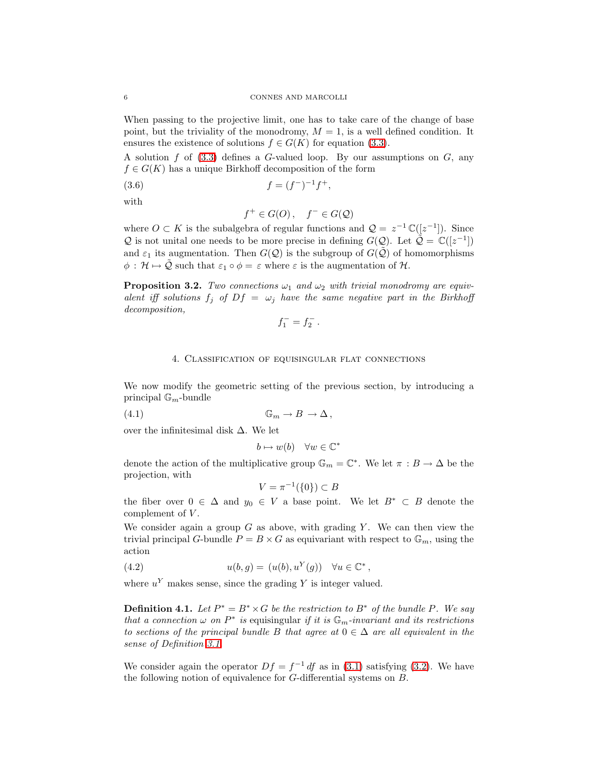When passing to the projective limit, one has to take care of the change of base point, but the triviality of the monodromy,  $M = 1$ , is a well defined condition. It ensures the existence of solutions  $f \in G(K)$  for equation [\(3.3\)](#page-4-0).

A solution f of  $(3.3)$  defines a G-valued loop. By our assumptions on G, any  $f \in G(K)$  has a unique Birkhoff decomposition of the form

$$
(3.6) \t\t f = (f^-)^{-1}f^+,
$$

with

$$
f^+ \in G(O)\,, \quad f^- \in G(\mathcal{Q})
$$

where  $O \subset K$  is the subalgebra of regular functions and  $\mathcal{Q} = z^{-1} \mathbb{C}([z^{-1}])$ . Since Q is not unital one needs to be more precise in defining  $G(\mathcal{Q})$ . Let  $\tilde{\mathcal{Q}} = \mathbb{C}([z^{-1}])$ and  $\varepsilon_1$  its augmentation. Then  $G(\mathcal{Q})$  is the subgroup of  $G(\tilde{\mathcal{Q}})$  of homomorphisms  $\phi : \mathcal{H} \mapsto \mathcal{Q}$  such that  $\varepsilon_1 \circ \phi = \varepsilon$  where  $\varepsilon$  is the augmentation of  $\mathcal{H}$ .

<span id="page-5-0"></span>**Proposition 3.2.** Two connections  $\omega_1$  and  $\omega_2$  with trivial monodromy are equivalent iff solutions  $f_j$  of  $Df = \omega_j$  have the same negative part in the Birkhoff decomposition,

$$
f_1^- = f_2^- \, .
$$

# 4. Classification of equisingular flat connections

<span id="page-5-1"></span>We now modify the geometric setting of the previous section, by introducing a principal  $\mathbb{G}_m$ -bundle

(4.1) G<sup>m</sup> → B → ∆ ,

over the infinitesimal disk ∆. We let

$$
b \mapsto w(b) \quad \forall w \in \mathbb{C}^*
$$

denote the action of the multiplicative group  $\mathbb{G}_m = \mathbb{C}^*$ . We let  $\pi : B \to \Delta$  be the projection, with

$$
V = \pi^{-1}(\{0\}) \subset B
$$

the fiber over  $0 \in \Delta$  and  $y_0 \in V$  a base point. We let  $B^* \subset B$  denote the complement of V.

We consider again a group  $G$  as above, with grading Y. We can then view the trivial principal G-bundle  $P = B \times G$  as equivariant with respect to  $\mathbb{G}_m$ , using the action

(4.2) 
$$
u(b,g) = (u(b), uY(g)) \quad \forall u \in \mathbb{C}^*,
$$

where  $u<sup>Y</sup>$  makes sense, since the grading Y is integer valued.

**Definition 4.1.** Let  $P^* = B^* \times G$  be the restriction to  $B^*$  of the bundle P. We say that a connection  $\omega$  on  $P^*$  is equisingular if it is  $\mathbb{G}_m$ -invariant and its restrictions to sections of the principal bundle B that agree at  $0 \in \Delta$  are all equivalent in the sense of Definition [3.1.](#page-4-1)

We consider again the operator  $Df = f^{-1} df$  as in [\(3.1\)](#page-4-2) satisfying [\(3.2\)](#page-4-3). We have the following notion of equivalence for  $G$ -differential systems on  $B$ .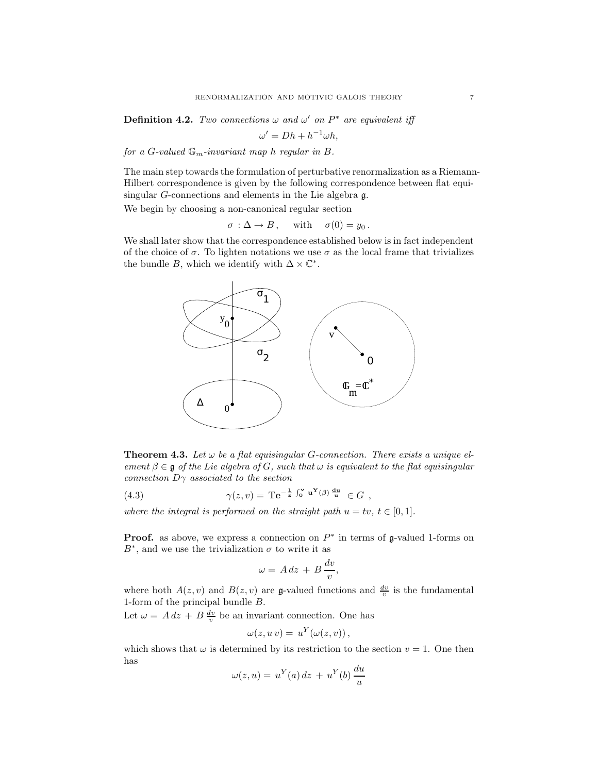**Definition 4.2.** Two connections  $\omega$  and  $\omega'$  on  $P^*$  are equivalent iff

$$
\omega' = Dh + h^{-1}\omega h,
$$

for a G-valued  $\mathbb{G}_m$ -invariant map h regular in B.

The main step towards the formulation of perturbative renormalization as a Riemann-Hilbert correspondence is given by the following correspondence between flat equisingular G-connections and elements in the Lie algebra g.

We begin by choosing a non-canonical regular section

$$
\sigma : \Delta \to B \,, \quad \text{ with } \quad \sigma(0) = y_0 \,.
$$

We shall later show that the correspondence established below is in fact independent of the choice of  $\sigma$ . To lighten notations we use  $\sigma$  as the local frame that trivializes the bundle B, which we identify with  $\Delta \times \mathbb{C}^*$ .



<span id="page-6-1"></span><span id="page-6-0"></span>**Theorem 4.3.** Let  $\omega$  be a flat equisingular G-connection. There exists a unique element  $\beta \in \mathfrak{g}$  of the Lie algebra of G, such that  $\omega$  is equivalent to the flat equisingular connection  $D\gamma$  associated to the section

(4.3) 
$$
\gamma(z,v) = \mathrm{Te}^{-\frac{1}{z}\int_0^v \mathbf{u}^{\mathbf{Y}}(\beta) \frac{\mathrm{du}}{\mathbf{u}}} \in G,
$$

where the integral is performed on the straight path  $u = tv, t \in [0, 1]$ .

**Proof.** as above, we express a connection on  $P^*$  in terms of  $\mathfrak{g}\text{-valued 1-forms on }$  $B^*$ , and we use the trivialization  $\sigma$  to write it as

$$
\omega = A dz + B \frac{dv}{v},
$$

where both  $A(z, v)$  and  $B(z, v)$  are g-valued functions and  $\frac{dv}{v}$  is the fundamental 1-form of the principal bundle B.

Let  $\omega = A dz + B \frac{dv}{v}$  be an invariant connection. One has

$$
\omega(z, u\, v) = u^Y(\omega(z, v)),
$$

which shows that  $\omega$  is determined by its restriction to the section  $v = 1$ . One then has

$$
\omega(z, u) = u^{Y}(a) dz + u^{Y}(b) \frac{du}{u}
$$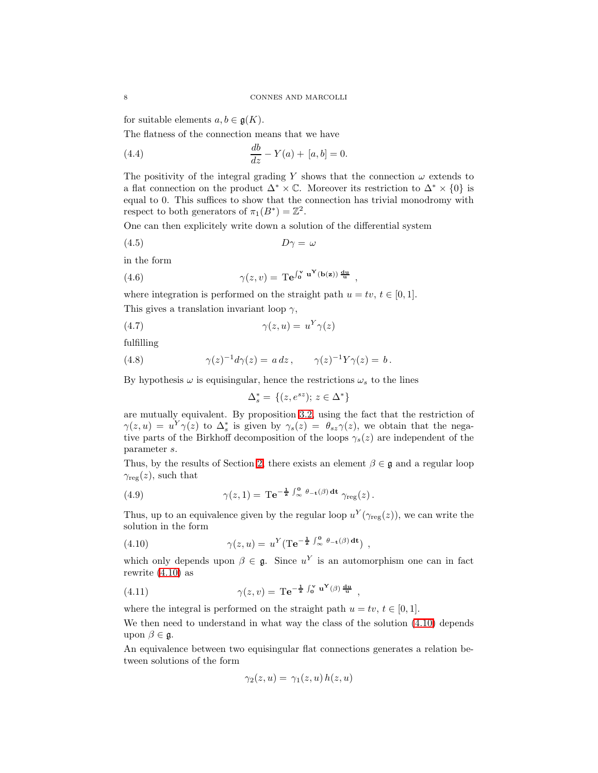for suitable elements  $a, b \in \mathfrak{g}(K)$ .

The flatness of the connection means that we have

(4.4) 
$$
\frac{db}{dz} - Y(a) + [a, b] = 0.
$$

The positivity of the integral grading Y shows that the connection  $\omega$  extends to a flat connection on the product  $\Delta^* \times \mathbb{C}$ . Moreover its restriction to  $\Delta^* \times \{0\}$  is equal to 0. This suffices to show that the connection has trivial monodromy with respect to both generators of  $\pi_1(B^*) = \mathbb{Z}^2$ .

One can then explicitely write down a solution of the differential system

$$
(4.5) \t\t D\gamma = \omega
$$

in the form

(4.6) 
$$
\gamma(z,v) = \mathrm{Te}^{\int_0^v \mathbf{u}^{\mathbf{Y}}(\mathbf{b}(\mathbf{z}))\frac{\mathrm{d}\mathbf{u}}{\mathbf{u}}},
$$

where integration is performed on the straight path  $u = tv, t \in [0, 1]$ . This gives a translation invariant loop  $\gamma$ ,

$$
(4.7) \t\t\t\t\t\gamma(z, u) = u^Y \gamma(z)
$$

fulfilling

(4.8) 
$$
\gamma(z)^{-1}d\gamma(z) = a dz, \qquad \gamma(z)^{-1}Y\gamma(z) = b.
$$

By hypothesis  $\omega$  is equisingular, hence the restrictions  $\omega_s$  to the lines

$$
\Delta_s^* = \{(z, e^{sz}); z \in \Delta^*\}
$$

are mutually equivalent. By proposition [3.2,](#page-5-0) using the fact that the restriction of  $\gamma(z, u) = u^Y \gamma(z)$  to  $\Delta_s^*$  is given by  $\gamma_s(z) = \theta_{sz} \gamma(z)$ , we obtain that the negative parts of the Birkhoff decomposition of the loops  $\gamma_s(z)$  are independent of the parameter s.

Thus, by the results of Section [2,](#page-2-0) there exists an element  $\beta \in \mathfrak{g}$  and a regular loop  $\gamma_{\text{reg}}(z)$ , such that

(4.9) 
$$
\gamma(z,1) = \mathrm{Te}^{-\frac{1}{z}\int_{\infty}^{0} \theta_{-\mathbf{t}}(\beta) \,\mathrm{d}\mathbf{t}} \gamma_{\text{reg}}(z).
$$

<span id="page-7-0"></span>Thus, up to an equivalence given by the regular loop  $u^Y(\gamma_{\text{reg}}(z))$ , we can write the solution in the form

(4.10) 
$$
\gamma(z, u) = u^Y (\text{Te}^{-\frac{1}{z} \int_{\infty}^0 \theta_{-\mathbf{t}}(\beta) \, \mathrm{d}\mathbf{t}}),
$$

which only depends upon  $\beta \in \mathfrak{g}$ . Since  $u^Y$  is an automorphism one can in fact rewrite [\(4.10\)](#page-7-0) as

(4.11) 
$$
\gamma(z,v) = \mathrm{Te}^{-\frac{1}{z}\int_0^v \mathbf{u}^{\mathbf{Y}}(\beta) \frac{\mathrm{d} \mathbf{u}}{\mathbf{u}}},
$$

where the integral is performed on the straight path  $u = tv, t \in [0, 1]$ .

We then need to understand in what way the class of the solution  $(4.10)$  depends upon  $\beta \in \mathfrak{g}$ .

An equivalence between two equisingular flat connections generates a relation between solutions of the form

$$
\gamma_2(z, u) = \gamma_1(z, u) h(z, u)
$$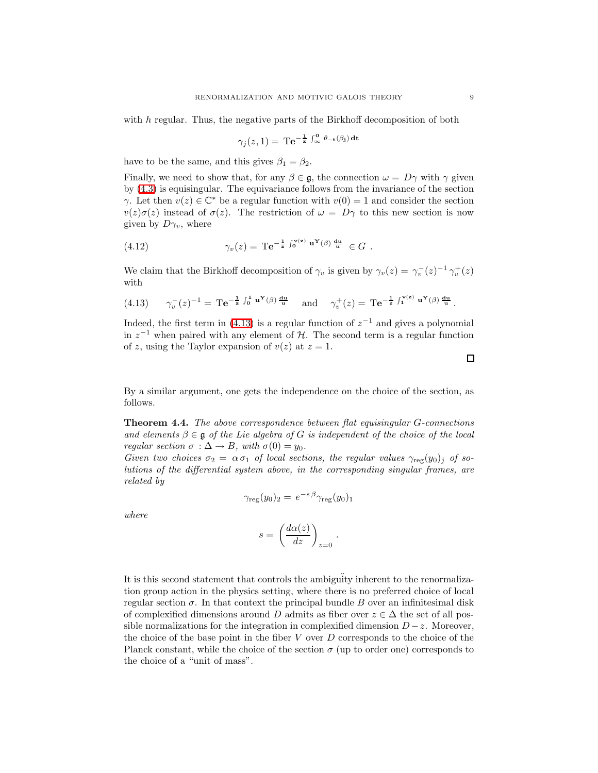with h regular. Thus, the negative parts of the Birkhoff decomposition of both

$$
\gamma_j(z,1) = \mathrm{Te}^{-\frac{1}{z}\int_{\infty}^0 \theta_{-\mathbf{t}}(\beta_j) \,\mathrm{d}\mathbf{t}}
$$

have to be the same, and this gives  $\beta_1 = \beta_2$ .

Finally, we need to show that, for any  $\beta \in \mathfrak{g}$ , the connection  $\omega = D\gamma$  with  $\gamma$  given by [\(4.3\)](#page-6-0) is equisingular. The equivariance follows from the invariance of the section γ. Let then  $v(z) \in \mathbb{C}^*$  be a regular function with  $v(0) = 1$  and consider the section  $v(z)\sigma(z)$  instead of  $\sigma(z)$ . The restriction of  $\omega = D\gamma$  to this new section is now given by  $D_{\gamma_v}$ , where

(4.12) 
$$
\gamma_v(z) = \mathrm{Te}^{-\frac{1}{z}\int_0^{v(z)} u^Y(\beta) \frac{du}{u}} \in G.
$$

<span id="page-8-0"></span>We claim that the Birkhoff decomposition of  $\gamma_v$  is given by  $\gamma_v(z) = \gamma_v^-(z)^{-1} \gamma_v^+(z)$ with

(4.13) 
$$
\gamma_v^-(z)^{-1} = \mathrm{Te}^{-\frac{1}{z} \int_0^1 \mathbf{u}^{\mathbf{Y}}(\beta) \frac{d\mathbf{u}}{\mathbf{u}}} \quad \text{and} \quad \gamma_v^+(z) = \mathrm{Te}^{-\frac{1}{z} \int_1^{\mathbf{V}(z)} \mathbf{u}^{\mathbf{Y}}(\beta) \frac{d\mathbf{u}}{\mathbf{u}}}.
$$

Indeed, the first term in [\(4.13\)](#page-8-0) is a regular function of  $z^{-1}$  and gives a polynomial in  $z^{-1}$  when paired with any element of H. The second term is a regular function of z, using the Taylor expansion of  $v(z)$  at  $z = 1$ .

<span id="page-8-1"></span>By a similar argument, one gets the independence on the choice of the section, as follows.

Theorem 4.4. The above correspondence between flat equisingular G-connections and elements  $\beta \in \mathfrak{g}$  of the Lie algebra of G is independent of the choice of the local regular section  $\sigma : \Delta \to B$ , with  $\sigma(0) = y_0$ .

Given two choices  $\sigma_2 = \alpha \sigma_1$  of local sections, the regular values  $\gamma_{\text{reg}}(y_0)_j$  of solutions of the differential system above, in the corresponding singular frames, are related by

$$
\gamma_{\text{reg}}(y_0)_2 = e^{-s\,\beta} \gamma_{\text{reg}}(y_0)_1
$$

where

$$
s = \left(\frac{d\alpha(z)}{dz}\right)_{z=0}.
$$

It is this second statement that controls the ambiguïty inherent to the renormalization group action in the physics setting, where there is no preferred choice of local regular section  $\sigma$ . In that context the principal bundle B over an infinitesimal disk of complexified dimensions around D admits as fiber over  $z \in \Delta$  the set of all possible normalizations for the integration in complexified dimension  $D-z$ . Moreover, the choice of the base point in the fiber  $V$  over  $D$  corresponds to the choice of the Planck constant, while the choice of the section  $\sigma$  (up to order one) corresponds to the choice of a "unit of mass".

 $\Box$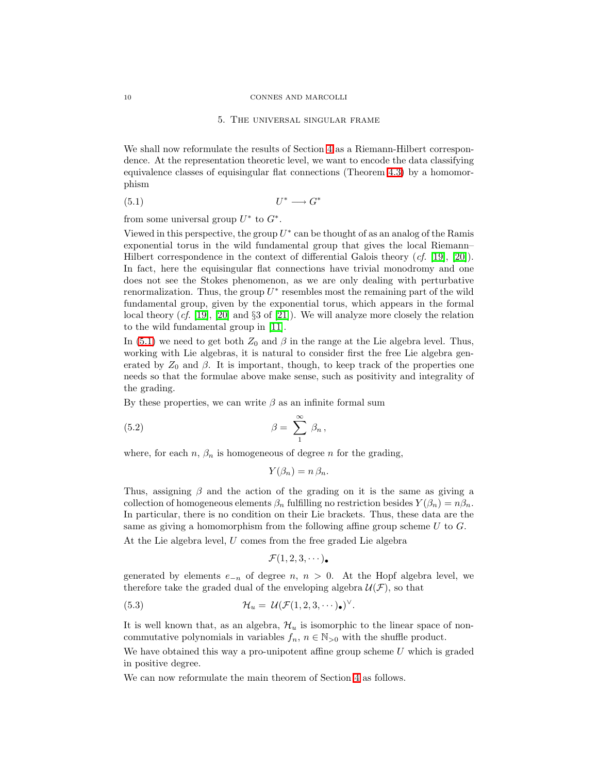#### 10 CONNES AND MARCOLLI

### 5. The universal singular frame

<span id="page-9-0"></span>We shall now reformulate the results of Section [4](#page-5-1) as a Riemann-Hilbert correspondence. At the representation theoretic level, we want to encode the data classifying equivalence classes of equisingular flat connections (Theorem [4.3\)](#page-6-1) by a homomorphism

$$
(5.1) \t\t\t U^* \longrightarrow G^*
$$

from some universal group  $U^*$  to  $G^*$ .

Viewed in this perspective, the group  $U^*$  can be thought of as an analog of the Ramis exponential torus in the wild fundamental group that gives the local Riemann– Hilbert correspondence in the context of differential Galois theory (cf. [\[19\]](#page-14-7), [\[20\]](#page-14-8)). In fact, here the equisingular flat connections have trivial monodromy and one does not see the Stokes phenomenon, as we are only dealing with perturbative renormalization. Thus, the group  $U^*$  resembles most the remaining part of the wild fundamental group, given by the exponential torus, which appears in the formal local theory  $(cf. [19], [20]$  $(cf. [19], [20]$  $(cf. [19], [20]$  $(cf. [19], [20]$  and §3 of [\[21\]](#page-14-9)). We will analyze more closely the relation to the wild fundamental group in [\[11\]](#page-14-10).

In [\(5.1\)](#page-9-0) we need to get both  $Z_0$  and  $\beta$  in the range at the Lie algebra level. Thus, working with Lie algebras, it is natural to consider first the free Lie algebra generated by  $Z_0$  and  $\beta$ . It is important, though, to keep track of the properties one needs so that the formulae above make sense, such as positivity and integrality of the grading.

By these properties, we can write  $\beta$  as an infinite formal sum

(5.2) 
$$
\beta = \sum_{1}^{\infty} \beta_n,
$$

where, for each  $n, \beta_n$  is homogeneous of degree n for the grading,

$$
Y(\beta_n)=n\,\beta_n.
$$

Thus, assigning  $\beta$  and the action of the grading on it is the same as giving a collection of homogeneous elements  $\beta_n$  fulfilling no restriction besides  $Y(\beta_n) = n\beta_n$ . In particular, there is no condition on their Lie brackets. Thus, these data are the same as giving a homomorphism from the following affine group scheme  $U$  to  $G$ .

At the Lie algebra level, U comes from the free graded Lie algebra

$$
\mathcal{F}(1,2,3,\cdots)_{\bullet}
$$

generated by elements  $e_{-n}$  of degree n,  $n > 0$ . At the Hopf algebra level, we therefore take the graded dual of the enveloping algebra  $\mathcal{U}(\mathcal{F})$ , so that

(5.3) 
$$
\mathcal{H}_u = \mathcal{U}(\mathcal{F}(1,2,3,\cdots)_\bullet)^\vee.
$$

It is well known that, as an algebra,  $\mathcal{H}_u$  is isomorphic to the linear space of noncommutative polynomials in variables  $f_n$ ,  $n \in \mathbb{N}_{>0}$  with the shuffle product.

We have obtained this way a pro-unipotent affine group scheme  $U$  which is graded in positive degree.

<span id="page-9-1"></span>We can now reformulate the main theorem of Section [4](#page-5-1) as follows.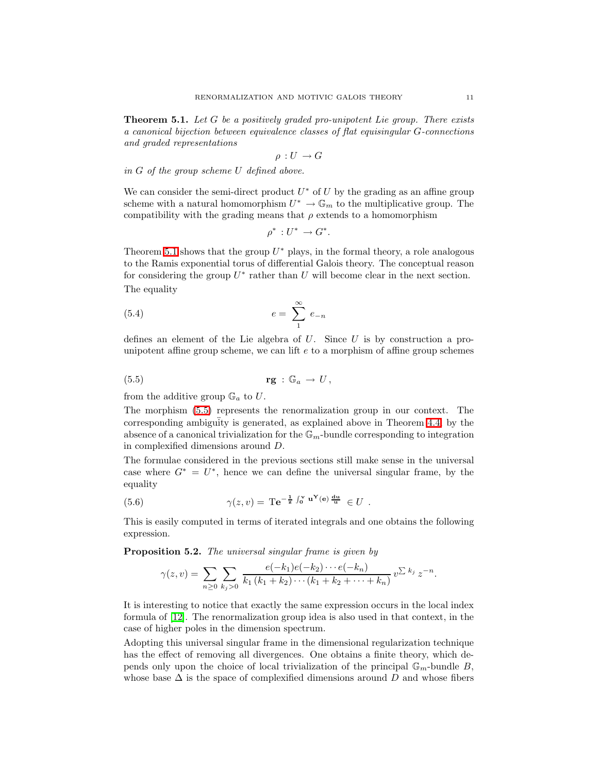**Theorem 5.1.** Let  $G$  be a positively graded pro-unipotent Lie group. There exists a canonical bijection between equivalence classes of flat equisingular G-connections and graded representations

$$
\rho:U\to G
$$

in G of the group scheme U defined above.

We can consider the semi-direct product  $U^*$  of U by the grading as an affine group scheme with a natural homomorphism  $U^* \to \mathbb{G}_m$  to the multiplicative group. The compatibility with the grading means that  $\rho$  extends to a homomorphism

$$
\rho^*: U^* \to G^*.
$$

Theorem [5.1](#page-9-1) shows that the group  $U^*$  plays, in the formal theory, a role analogous to the Ramis exponential torus of differential Galois theory. The conceptual reason for considering the group  $U^*$  rather than U will become clear in the next section. The equality

$$
(5.4) \qquad \qquad e = \sum_{1}^{\infty} e_{-n}
$$

<span id="page-10-0"></span>defines an element of the Lie algebra of  $U$ . Since  $U$  is by construction a prounipotent affine group scheme, we can lift  $e$  to a morphism of affine group schemes

$$
\mathbf{rg} \,:\, \mathbb{G}_a \,\to\, U \,,
$$

from the additive group  $\mathbb{G}_a$  to  $U$ .

The morphism [\(5.5\)](#page-10-0) represents the renormalization group in our context. The corresponding ambiguity is generated, as explained above in Theorem [4.4,](#page-8-1) by the absence of a canonical trivialization for the  $\mathbb{G}_m$ -bundle corresponding to integration in complexified dimensions around D.

The formulae considered in the previous sections still make sense in the universal case where  $G^* = U^*$ , hence we can define the universal singular frame, by the equality

(5.6) 
$$
\gamma(z,v) = \mathrm{Te}^{-\frac{1}{z}\int_0^v \mathbf{u}^Y(\mathbf{e})\frac{\mathbf{du}}{\mathbf{u}}} \in U.
$$

<span id="page-10-1"></span>This is easily computed in terms of iterated integrals and one obtains the following expression.

Proposition 5.2. The universal singular frame is given by

$$
\gamma(z,v) = \sum_{n\geq 0} \sum_{k_j>0} \frac{e(-k_1)e(-k_2)\cdots e(-k_n)}{k_1(k_1+k_2)\cdots(k_1+k_2+\cdots+k_n)} v^{\sum k_j} z^{-n}.
$$

It is interesting to notice that exactly the same expression occurs in the local index formula of [\[12\]](#page-14-2). The renormalization group idea is also used in that context, in the case of higher poles in the dimension spectrum.

Adopting this universal singular frame in the dimensional regularization technique has the effect of removing all divergences. One obtains a finite theory, which depends only upon the choice of local trivialization of the principal  $\mathbb{G}_m$ -bundle B, whose base  $\Delta$  is the space of complexified dimensions around D and whose fibers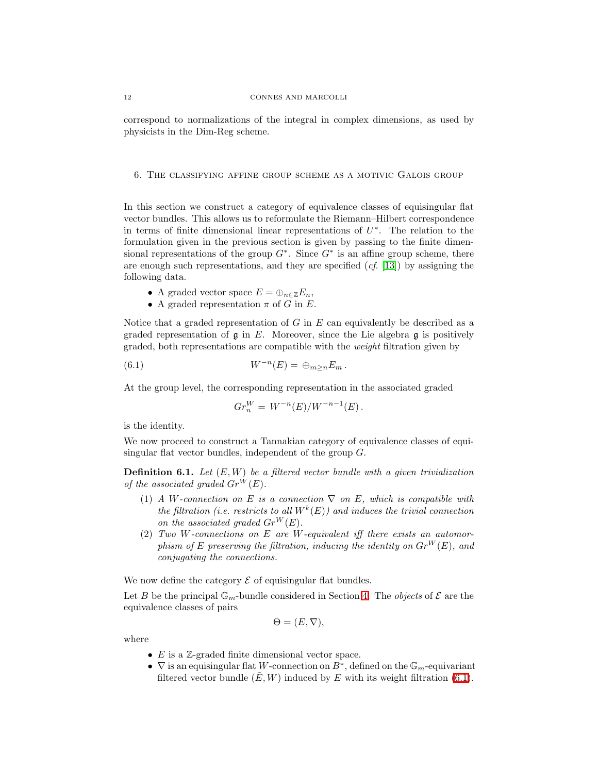correspond to normalizations of the integral in complex dimensions, as used by physicists in the Dim-Reg scheme.

6. The classifying affine group scheme as a motivic Galois group

In this section we construct a category of equivalence classes of equisingular flat vector bundles. This allows us to reformulate the Riemann–Hilbert correspondence in terms of finite dimensional linear representations of  $U^*$ . The relation to the formulation given in the previous section is given by passing to the finite dimensional representations of the group  $G^*$ . Since  $G^*$  is an affine group scheme, there are enough such representations, and they are specified  $(cf. [13])$  $(cf. [13])$  $(cf. [13])$  by assigning the following data.

- A graded vector space  $E = \bigoplus_{n \in \mathbb{Z}} E_n$ ,
- A graded representation  $\pi$  of G in E.

Notice that a graded representation of  $G$  in  $E$  can equivalently be described as a graded representation of  $\mathfrak g$  in E. Moreover, since the Lie algebra  $\mathfrak g$  is positively graded, both representations are compatible with the weight filtration given by

(6.1) 
$$
W^{-n}(E) = \bigoplus_{m \geq n} E_m.
$$

At the group level, the corresponding representation in the associated graded

<span id="page-11-0"></span>
$$
Gr_n^W = W^{-n}(E)/W^{-n-1}(E).
$$

is the identity.

We now proceed to construct a Tannakian category of equivalence classes of equisingular flat vector bundles, independent of the group G.

**Definition 6.1.** Let  $(E, W)$  be a filtered vector bundle with a given trivialization of the associated graded  $Gr^W(E)$ .

- (1) A W-connection on E is a connection  $\nabla$  on E, which is compatible with the filtration (i.e. restricts to all  $W^k(E)$ ) and induces the trivial connection on the associated graded  $Gr^W(E)$ .
- (2) Two W-connections on  $E$  are W-equivalent iff there exists an automorphism of E preserving the filtration, inducing the identity on  $Gr^W(E)$ , and conjugating the connections.

We now define the category  $\mathcal E$  of equisingular flat bundles.

Let B be the principal  $\mathbb{G}_m$ -bundle considered in Section [4.](#page-5-1) The *objects* of  $\mathcal E$  are the equivalence classes of pairs

$$
\Theta = (E, \nabla),
$$

where

- $E$  is a  $\mathbb{Z}$ -graded finite dimensional vector space.
- $\nabla$  is an equisingular flat W-connection on  $B^*$ , defined on the  $\mathbb{G}_m$ -equivariant filtered vector bundle  $(E, W)$  induced by E with its weight filtration [\(6.1\)](#page-11-0).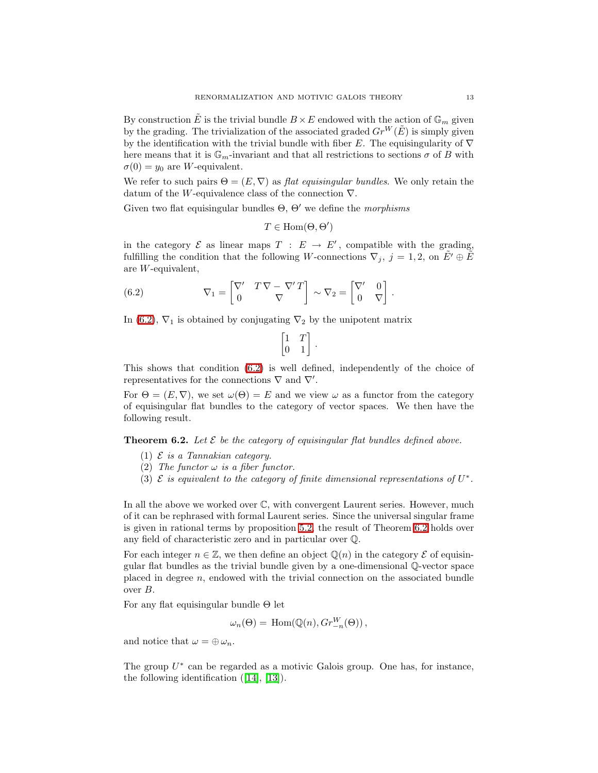By construction  $\tilde{E}$  is the trivial bundle  $B \times E$  endowed with the action of  $\mathbb{G}_m$  given by the grading. The trivialization of the associated graded  $Gr^W(\tilde{E})$  is simply given by the identification with the trivial bundle with fiber E. The equisingularity of  $\nabla$ here means that it is  $\mathbb{G}_m$ -invariant and that all restrictions to sections  $\sigma$  of B with  $\sigma(0) = y_0$  are W-equivalent.

We refer to such pairs  $\Theta = (E, \nabla)$  as flat equisingular bundles. We only retain the datum of the W-equivalence class of the connection  $\nabla$ .

Given two flat equisingular bundles  $\Theta$ ,  $\Theta'$  we define the *morphisms* 

$$
T \in \text{Hom}(\Theta, \Theta')
$$

<span id="page-12-0"></span>in the category  $\mathcal E$  as linear maps  $T : E \to E'$ , compatible with the grading, fulfilling the condition that the following W-connections  $\nabla_j$ ,  $j = 1, 2$ , on  $\tilde{E}' \oplus \tilde{E}$ are W-equivalent,

(6.2) 
$$
\nabla_1 = \begin{bmatrix} \nabla' & T \nabla - \nabla' T \\ 0 & \nabla \end{bmatrix} \sim \nabla_2 = \begin{bmatrix} \nabla' & 0 \\ 0 & \nabla \end{bmatrix}.
$$

In [\(6.2\)](#page-12-0),  $\nabla_1$  is obtained by conjugating  $\nabla_2$  by the unipotent matrix

$$
\begin{bmatrix} 1 & T \\ 0 & 1 \end{bmatrix}
$$

.

This shows that condition [\(6.2\)](#page-12-0) is well defined, independently of the choice of representatives for the connections  $\nabla$  and  $\nabla'$ .

For  $\Theta = (E, \nabla)$ , we set  $\omega(\Theta) = E$  and we view  $\omega$  as a functor from the category of equisingular flat bundles to the category of vector spaces. We then have the following result.

<span id="page-12-1"></span>**Theorem 6.2.** Let  $\mathcal{E}$  be the category of equisingular flat bundles defined above.

- (1)  $\mathcal E$  is a Tannakian category.
- (2) The functor  $\omega$  is a fiber functor.
- (3)  $\mathcal E$  is equivalent to the category of finite dimensional representations of  $U^*$ .

In all the above we worked over C, with convergent Laurent series. However, much of it can be rephrased with formal Laurent series. Since the universal singular frame is given in rational terms by proposition [5.2,](#page-10-1) the result of Theorem [6.2](#page-12-1) holds over any field of characteristic zero and in particular over Q.

For each integer  $n \in \mathbb{Z}$ , we then define an object  $\mathbb{Q}(n)$  in the category  $\mathcal E$  of equisingular flat bundles as the trivial bundle given by a one-dimensional Q-vector space placed in degree  $n$ , endowed with the trivial connection on the associated bundle over B.

For any flat equisingular bundle Θ let

$$
\omega_n(\Theta) = \text{Hom}(\mathbb{Q}(n), Gr_{-n}^W(\Theta)),
$$

and notice that  $\omega = \bigoplus \omega_n$ .

The group  $U^*$  can be regarded as a motivic Galois group. One has, for instance, the following identification ([\[14\]](#page-14-4), [\[13\]](#page-14-3)).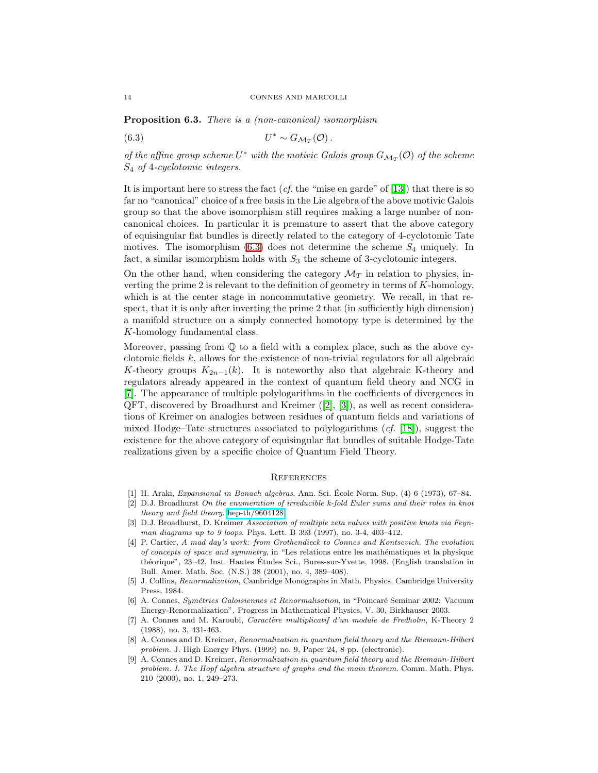<span id="page-13-5"></span>Proposition 6.3. There is a (non-canonical) isomorphism

(6.3) 
$$
U^* \sim G_{\mathcal{M}_T}(\mathcal{O})\,.
$$

of the affine group scheme  $U^*$  with the motivic Galois group  $G_{\mathcal{M}_T}(\mathcal{O})$  of the scheme S<sup>4</sup> of 4-cyclotomic integers.

It is important here to stress the fact  $(cf.$  the "mise en garde" of [\[13\]](#page-14-3)) that there is so far no "canonical" choice of a free basis in the Lie algebra of the above motivic Galois group so that the above isomorphism still requires making a large number of noncanonical choices. In particular it is premature to assert that the above category of equisingular flat bundles is directly related to the category of 4-cyclotomic Tate motives. The isomorphism  $(6.3)$  does not determine the scheme  $S_4$  uniquely. In fact, a similar isomorphism holds with  $S_3$  the scheme of 3-cyclotomic integers.

On the other hand, when considering the category  $\mathcal{M}_T$  in relation to physics, inverting the prime 2 is relevant to the definition of geometry in terms of  $K$ -homology, which is at the center stage in noncommutative geometry. We recall, in that respect, that it is only after inverting the prime 2 that (in sufficiently high dimension) a manifold structure on a simply connected homotopy type is determined by the K-homology fundamental class.

Moreover, passing from  $\mathbb Q$  to a field with a complex place, such as the above cyclotomic fields  $k$ , allows for the existence of non-trivial regulators for all algebraic K-theory groups  $K_{2n-1}(k)$ . It is noteworthy also that algebraic K-theory and regulators already appeared in the context of quantum field theory and NCG in [\[7\]](#page-13-6). The appearance of multiple polylogarithms in the coefficients of divergences in QFT, discovered by Broadhurst and Kreimer ([\[2\]](#page-13-7), [\[3\]](#page-13-8)), as well as recent considerations of Kreimer on analogies between residues of quantum fields and variations of mixed Hodge–Tate structures associated to polylogarithms  $(cf. [18])$  $(cf. [18])$  $(cf. [18])$ , suggest the existence for the above category of equisingular flat bundles of suitable Hodge-Tate realizations given by a specific choice of Quantum Field Theory.

### **REFERENCES**

- <span id="page-13-7"></span><span id="page-13-4"></span>[1] H. Araki, *Expansional in Banach algebras*, Ann. Sci. Ecole Norm. Sup. (4) 6 (1973), 67–84. ´
- [2] D.J. Broadhurst *On the enumeration of irreducible k-fold Euler sums and their roles in knot theory and field theory*. [hep-th/9604128.](http://arXiv.org/abs/hep-th/9604128)
- <span id="page-13-8"></span><span id="page-13-1"></span>[3] D.J. Broadhurst, D. Kreimer *Association of multiple zeta values with positive knots via Feynman diagrams up to 9 loops*. Phys. Lett. B 393 (1997), no. 3-4, 403–412.
- [4] P. Cartier, *A mad day's work: from Grothendieck to Connes and Kontsevich. The evolution of concepts of space and symmetry*, in "Les relations entre les mathématiques et la physique théorique", 23–42, Inst. Hautes Études Sci., Bures-sur-Yvette, 1998. (English translation in Bull. Amer. Math. Soc. (N.S.) 38 (2001), no. 4, 389–408).
- <span id="page-13-3"></span>[5] J. Collins, *Renormalization*, Cambridge Monographs in Math. Physics, Cambridge University Press, 1984.
- <span id="page-13-2"></span>[6] A. Connes, *Sym´etries Galoisiennes et Renormalisation*, in "Poincar´e Seminar 2002: Vacuum Energy-Renormalization", Progress in Mathematical Physics, V. 30, Birkhauser 2003.
- <span id="page-13-6"></span>[7] A. Connes and M. Karoubi, *Caractère multiplicatif d'un module de Fredholm*, K-Theory 2 (1988), no. 3, 431-463.
- [8] A. Connes and D. Kreimer, *Renormalization in quantum field theory and the Riemann-Hilbert problem*. J. High Energy Phys. (1999) no. 9, Paper 24, 8 pp. (electronic).
- <span id="page-13-0"></span>[9] A. Connes and D. Kreimer, *Renormalization in quantum field theory and the Riemann-Hilbert problem. I. The Hopf algebra structure of graphs and the main theorem*. Comm. Math. Phys. 210 (2000), no. 1, 249–273.